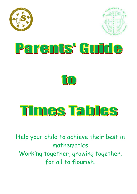







Help your child to achieve their best in mathematics Working together, growing together, for all to flourish.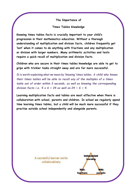#### **The Importance of**

#### **Times Tables Knowledge**

**Knowing times tables facts is crucially important to your child's progression in their mathematics education. Without a thorough understanding of multiplication and division facts, children frequently get 'lost' when it comes to do anything with fractions and any multiplication or division with larger numbers. Many arithmetic activities and tests require a quick recall of multiplication and division facts.**

**Children who are secure in their times tables knowledge are able to get to grips with trickier tasks straight away and are far more successful.**

*It is worth explaining what we mean by 'knowing' times tables. A child who knows their times tables will be able to recall any of the multiples of a times table out of order within 3 seconds, as well as knowing the corresponding division facts i.e. 4 x 6 = 24 as well as 24 ÷ 6 = 4.*

**Learning multiplication facts and tables are most effective when there is collaboration with school, parents and children. In school we regularly spend time learning times tables, but a child will be much more successful if they practise outside school independently and alongside parents.**

> A successful learner works collaboratively.

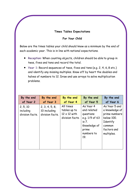## **Times Tables Expectations**

## **For Your Child**

Below are the times tables your child should know as a minimum by the end of each academic year. This is in line with national expectations.

- **Reception**: When counting objects, children should be able to group in twos, fives and tens and record the total.
- **Year 1**: Record sequences of twos, fives and tens (e.g. 2, 4, 6, 8 etc.) and identify any missing multiples. Know off by heart the doubles and halves of numbers to 12. Draw and use arrays to solve multiplication problems.

| By the end                               | By the end                                        | By the end                                                          | By the end                                                                                                     | By the end                                                                                                        |
|------------------------------------------|---------------------------------------------------|---------------------------------------------------------------------|----------------------------------------------------------------------------------------------------------------|-------------------------------------------------------------------------------------------------------------------|
| of Year 2                                | of Year 3                                         | of Year 4                                                           | of Year 5                                                                                                      | of Year 6                                                                                                         |
| 2, 5, 10<br>including<br>division facts. | 2, 3, 4, 5, 8,<br>10 including<br>division facts. | All times<br>tables up to<br>$12 \times 12$ with<br>division facts. | As Year 4<br>and related<br>questions<br>e.g. 1/9 of 63<br>is 7.<br>Knowledge of<br>prime<br>numbers to<br>19. | As Year 5 and<br>a knowledge of<br>prime numbers<br>below 100.<br>Identify<br>common<br>factors and<br>multiples. |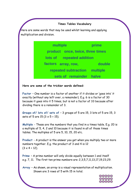### **Times Tables Vocabulary**

Here are some words that may be used whilst learning and applying multiplication and division.

> **multiple e product once, twice, three times prime lots of repeated addition factors time double s array, row, columnized repeated subtraction multiple sets of remainder halve**

**Here are some of the trickier words defined:**

**Factor** – One number is a factor of another if it divides or 'goes into' it exactly (without any left over, a remainder). E.g. 6 is a factor of 30 because it goes into it 5 times, but is not a factor of 33 because after dividing there is a remainder of 3.

**Groups of/ lots of/ sets of** – 3 groups of 5 are 15, 3 lots of 5 are 15, 3 sets of 5 are  $15 (3 \times 5 = 15)$ .

**Multiple** - These are the numbers that you find in a times table. E.g. 20 is a multiple of 5, 4, 2 and 10 because it is found in all of those times tables. The multiples of 5 are 5, 10, 15, 20 etc.

**Product** - A product is the answer you get when you multiply two or more numbers together. E.g. the product of 3 and 4 is 12  $(3 \times 4 = 12)$ .

**Prime** – A prime number will only divide equally between 1 and itself e.g. 7, 11. The first ten prime numbers are: 2,3,5,7,11,13,17,19,23,29.

**Array** – As shown, an array is a visual representation of multiplication. Shown are 3 rows of 5 with 15 in total.

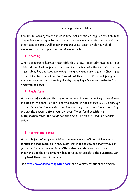# **Learning Times Tables**

The Key to learning times tables is frequent repetition, regular revision. 5 to 10 minutes every day is better than an hour a week. A poster on the wall that is not used is simply wall paper. Here are some ideas to help your child memorise their multiplication and division facts.

### **1. Chanting**

When beginning to learn a times table this is key. Repeatedly reading a times table out aloud will help your child become familiar with the multiples for that times table. Try and keep a rhythm, changing vocabulary regularly (two times three is six, two threes are six, two lots of three are six etc.) Clapping or marching may help with keeping the rhythm going. (See school website for times tables lists).

### **2. Flash Cards**

Make a set of cards for the times table being learnt by putting a question on one side of the card  $(6 \times 5)$  =) and the answer on the reverse (30). Go through the cards reading the question and then turning over to see the answer. Try and say the answer before you turn over. When familiar with the multiplication table, the cards can then be shuffled and used in a random order.

### **3. Testing and Timing**

Make this fun. When your child has become more confident at learning a particular times table, ask them questions on it and see how many they can get correct in a particular time. Alternatively write some questions out of order and get them to time how long it takes to complete the questions. Can they beat their time and score?

(see [http://www.online-stopwatch.com\)](http://www.online-stopwatch.com/) for a variety of different timers.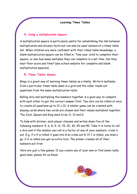#### **Learning Times Tables**

## **4. Using a multiplication Square**

A multiplication square is particularly useful for establishing the link between multiplication and division facts but can also be used instead of a times table list. When children are more confident with their times table knowledge, a blank multiplication square can be filled in. Time your child to complete their square, or see how many multiples they can complete in a set time. Can they beat their score and time? (see school website for complete and blank multiplication squares).

# **5. Times Tables Games**

Bingo is a great way of learning times tables as a family. Write 6 multiples from a particular times table down in a grid and the caller reads out questions from the same multiplication table.

Rolling dice and multiplying the numbers together is a good way to compete with each other to get the correct answer first. Two dice can be rolled at once to create all questions up to  $12 \times 12$ . A similar game can be created with playing cards where two cards are chosen and their values multiplied together. The Jack, Queen and King need to be 11, 12 and 0.

To help with division, each player chooses and writes down five of the following numbers: 5, 6, 8, 9, 12, 15, 20, 30, 40 and 50. Take it in turns to roll a dice and if the number you roll is a factor of one of your numbers, cross it out. E.g. if a 4 is rolled it goes into 8 so cross out 8. If 1 is rolled, you miss a go; if 6 is rolled you get an extra turn. The winner crosses all of their numbers out first.

Here are just a few games. If you create any of your own or find some really good ones, please let us know!

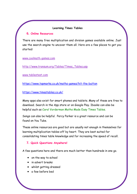## **Learning Times Tables**

#### **6. Online Resources**

There are many free multiplication and division games available online. Just use the search engine to uncover them all. Here are a few places to get you started:

[www.coolmath-games.com](http://www.coolmath-games.com/)

[http://www.transum.org/Tables/Times\\_Tables.asp](http://www.transum.org/Tables/Times_Tables.asp)

[www.tablestest.com](http://www.tablestest.com/)

<https://www.topmarks.co.uk/maths-games/hit-the-button>

<https://www.timestables.co.uk/>

Many apps also exist for smart phones and tablets. Many of these are free to download. Search in the App store or on Google Play. Ibooks can also be helpful such as Carol Vorderman Maths Made Easy Times Tables.

Songs can also be helpful. Percy Parker is a great resource and can be found on You Tube.

These online resources are good but are usually not enough in themselves for learning multiplication tables off by heart. They are best suited for consolidating times table knowledge and for increasing the speed of recall.

# **7. Quick Questions Anywhere!**

A few questions here and there are much better than hundreds in one go.

- on the way to school
- in advert breaks
- whilst getting dressed
- a few before bed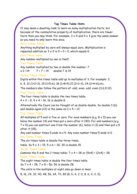## **Top Times Table Hints**

It may seem a daunting task to learn so many multiplication facts, but because of the commutative property of multiplication, there are fewer facts than you may think. For example,  $3 \times 4$  and  $4 \times 3$  give the same answer so you need to only learn this once.

#### **Zero Times Table**

Anything multiplied by zero will always equal zero. Multiplication is repeated addition so  $3 \times 0$  is  $0 + 0 + 0$ , which equals 0.

#### **One Times table**

Any number multiplied by one is itself.

## **Two Times Table**

Any number multiplied by two is double the number. 7  $x 2 = 14$   $7 + 7 = 14$  double 7 is 14

## **Three Times Table**

Digits within this times table add up to multiples of 3. For example: 3,

6, 9, 12 (1+2=3), 15 (1+5=6), 18 (1+8=9) 21 (2+1=3), 24 (2+4=6) etc.

The numbers also follow the pattern of: odd, even, odd, even (3,6,9,12).

### **Four Times Table**

The four times table is double the two times table.  $4 \times 2 = 8$ ,  $4 \times 4 = 16$ , 16 is double 8.

Alternatively the fours can be thought of as double double. So double 3 (6) and double again (12) is the same as  $3 \times 4 = 12$ .

### **Five Times Table**

All multiples of 5 end in five or zero. For even numbers (e.g.  $8 \times 5$ ) you can halve the number (4) and then put a zero after it (40). For odd numbers (e.g.  $7 \times 5$ ) you can subtract one from the number (6), halve it (3) and then put a 5 after it (35).

Any odd number times 5 ends in a 5. Any even number times 5 ends in 0. **Six Times Table**

The six times table is double the three times

table. So  $5 \times 3 = 15, 5 \times 6 = 30, 30$  is double 15.

### **Seven Times Table**

Combine the 5 and the 2 times table:  $7 \times 4 = 28$  or  $(5 \times 4) + (2 \times 4) = 28$ **Eight Times Table**

The eight times table is double the four times table. So 7 x 4 = 28, 7 x 8 = 56, 56 is double 28.

The units in the multiples of eight also go down in twos.

8, 16, 24, 32, 40, 48, 56, 64, 72, 80 (8, 6, 4, 2, 0, 8, 6, 4, 2, 0).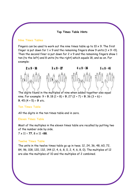#### **Top Times Table Hints**

#### **Nine Times Tables**

Fingers can be used to work out the nine times table up to  $10 \times 9$ . The first finger is put down for  $1 \times 9$  and the remaining fingers show 9 units  $(1 \times 9 = 9)$ . Then the second finer is put down for  $2 \times 9$  and the remaining fingers show 1 ten (to the left) and 8 units (to the right) which equals 18, and so on. For example:



The digits found in the multiples of nine when added together also equal nine. For example: 9 = **9**, 18 (1 + 8) = **9**, 27 (2 + 7) = **9**, 36 (3 + 6) = **9**, 45 (4 + 5) = **9** etc.

### **Ten Times Table**

All the digits in the ten times table end in zero.

#### **Eleven Times Table**

Most of the multiples in the eleven times table are recalled by putting two of the number side by side.

 $7 \times 11 = 77$ ,  $8 \times 11 = 88$ .

### **Twelve Times Table**

The units in the twelve times table go up in twos. 12, 24, 36, 48, 60, 72, 84, 96, 108, 120, 132, 144 (2, 4, 6, 8, 0, 2, 4, 6, 8, 0). The multiples of 12 are also the multiples of 10 and the multiples of 2 combined.